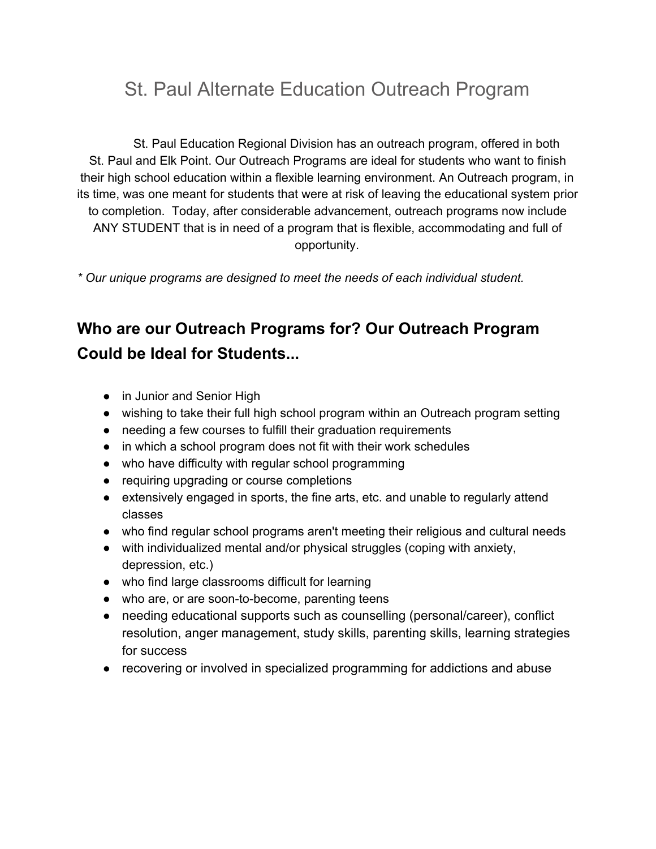## St. Paul Alternate Education Outreach Program

St. Paul Education Regional Division has an outreach program, offered in both St. Paul and Elk Point. Our Outreach Programs are ideal for students who want to finish their high school education within a flexible learning environment. An Outreach program, in its time, was one meant for students that were at risk of leaving the educational system prior to completion. Today, after considerable advancement, outreach programs now include ANY STUDENT that is in need of a program that is flexible, accommodating and full of opportunity.

*\* Our unique programs are designed to meet the needs of each individual student.*

## **Who are our Outreach Programs for? Our Outreach Program Could be Ideal for Students...**

- in Junior and Senior High
- wishing to take their full high school program within an Outreach program setting
- needing a few courses to fulfill their graduation requirements
- in which a school program does not fit with their work schedules
- who have difficulty with regular school programming
- requiring upgrading or course completions
- extensively engaged in sports, the fine arts, etc. and unable to regularly attend classes
- who find regular school programs aren't meeting their religious and cultural needs
- with individualized mental and/or physical struggles (coping with anxiety, depression, etc.)
- who find large classrooms difficult for learning
- who are, or are soon-to-become, parenting teens
- needing educational supports such as counselling (personal/career), conflict resolution, anger management, study skills, parenting skills, learning strategies for success
- recovering or involved in specialized programming for addictions and abuse